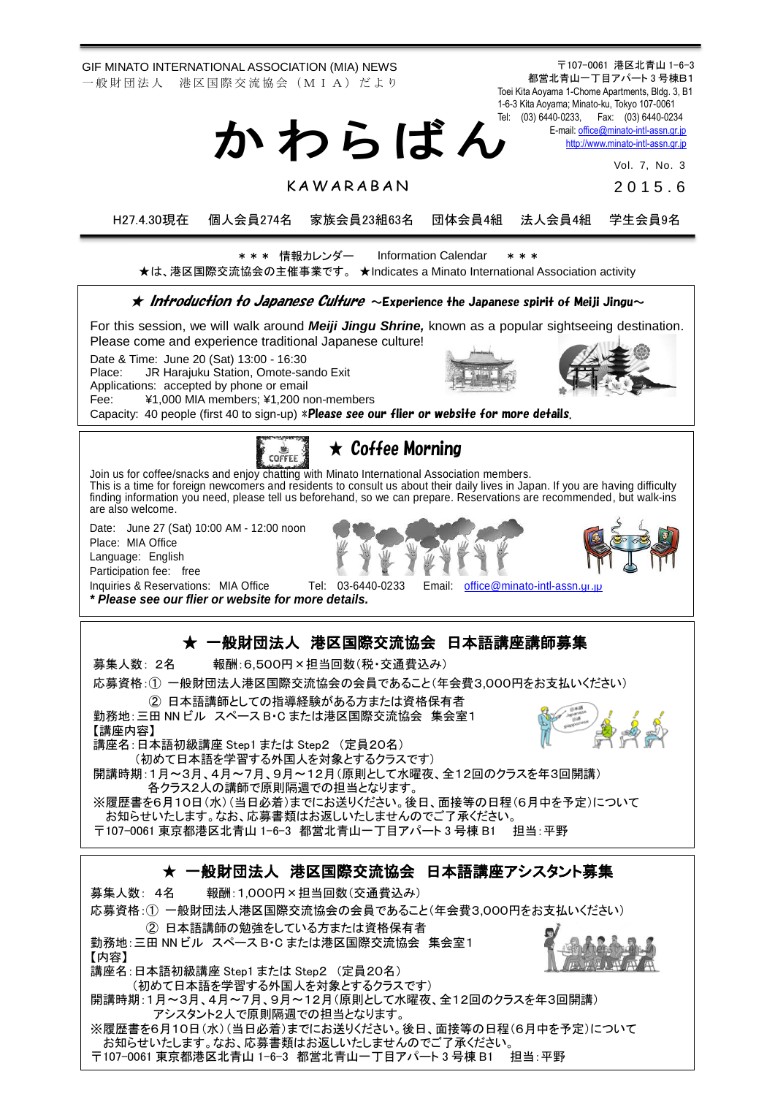